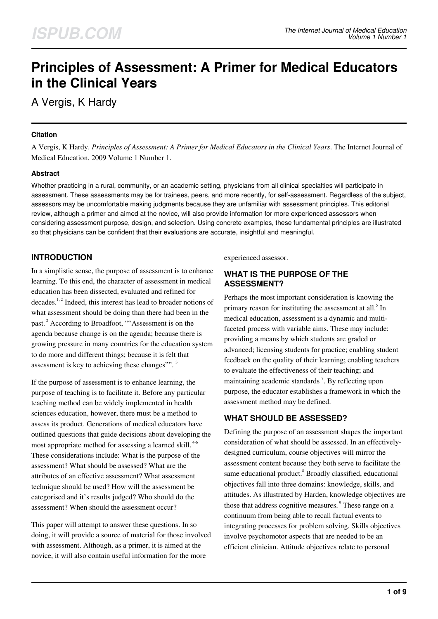# **Principles of Assessment: A Primer for Medical Educators in the Clinical Years**

A Vergis, K Hardy

#### **Citation**

A Vergis, K Hardy. *Principles of Assessment: A Primer for Medical Educators in the Clinical Years*. The Internet Journal of Medical Education. 2009 Volume 1 Number 1.

#### **Abstract**

Whether practicing in a rural, community, or an academic setting, physicians from all clinical specialties will participate in assessment. These assessments may be for trainees, peers, and more recently, for self-assessment. Regardless of the subject, assessors may be uncomfortable making judgments because they are unfamiliar with assessment principles. This editorial review, although a primer and aimed at the novice, will also provide information for more experienced assessors when considering assessment purpose, design, and selection. Using concrete examples, these fundamental principles are illustrated so that physicians can be confident that their evaluations are accurate, insightful and meaningful.

# **INTRODUCTION**

In a simplistic sense, the purpose of assessment is to enhance learning. To this end, the character of assessment in medical education has been dissected, evaluated and refined for decades.<sup>1,2</sup> Indeed, this interest has lead to broader notions of what assessment should be doing than there had been in the past.<sup>2</sup> According to Broadfoot, ""Assessment is on the agenda because change is on the agenda; because there is growing pressure in many countries for the education system to do more and different things; because it is felt that assessment is key to achieving these changes"".<sup>3</sup>

If the purpose of assessment is to enhance learning, the purpose of teaching is to facilitate it. Before any particular teaching method can be widely implemented in health sciences education, however, there must be a method to assess its product. Generations of medical educators have outlined questions that guide decisions about developing the most appropriate method for assessing a learned skill.<sup>4-6</sup> These considerations include: What is the purpose of the assessment? What should be assessed? What are the attributes of an effective assessment? What assessment technique should be used? How will the assessment be categorised and it's results judged? Who should do the assessment? When should the assessment occur?

This paper will attempt to answer these questions. In so doing, it will provide a source of material for those involved with assessment. Although, as a primer, it is aimed at the novice, it will also contain useful information for the more

experienced assessor.

#### **WHAT IS THE PURPOSE OF THE ASSESSMENT?**

Perhaps the most important consideration is knowing the primary reason for instituting the assessment at all.<sup>5</sup> In medical education, assessment is a dynamic and multifaceted process with variable aims. These may include: providing a means by which students are graded or advanced; licensing students for practice; enabling student feedback on the quality of their learning; enabling teachers to evaluate the effectiveness of their teaching; and maintaining academic standards<sup>7</sup>. By reflecting upon purpose, the educator establishes a framework in which the assessment method may be defined.

# **WHAT SHOULD BE ASSESSED?**

Defining the purpose of an assessment shapes the important consideration of what should be assessed. In an effectivelydesigned curriculum, course objectives will mirror the assessment content because they both serve to facilitate the same educational product.<sup>8</sup> Broadly classified, educational objectives fall into three domains: knowledge, skills, and attitudes. As illustrated by Harden, knowledge objectives are those that address cognitive measures.<sup>9</sup> These range on a continuum from being able to recall factual events to integrating processes for problem solving. Skills objectives involve psychomotor aspects that are needed to be an efficient clinician. Attitude objectives relate to personal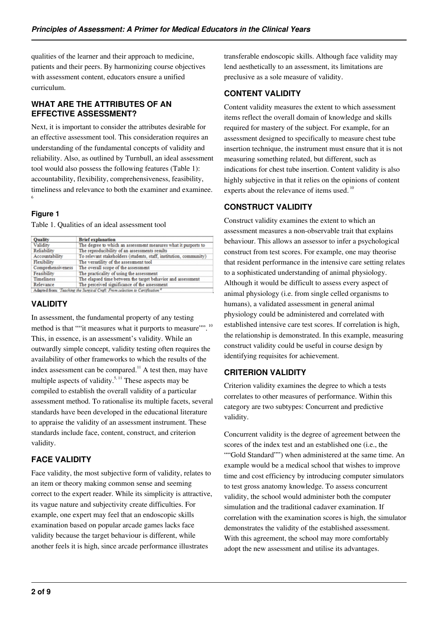qualities of the learner and their approach to medicine, patients and their peers. By harmonizing course objectives with assessment content, educators ensure a unified curriculum.

#### **WHAT ARE THE ATTRIBUTES OF AN EFFECTIVE ASSESSMENT?**

Next, it is important to consider the attributes desirable for an effective assessment tool. This consideration requires an understanding of the fundamental concepts of validity and reliability. Also, as outlined by Turnbull, an ideal assessment tool would also possess the following features (Table 1): accountability, flexibility, comprehensiveness, feasibility, timeliness and relevance to both the examiner and examinee. 6

## **Figure 1**

Table 1. Qualities of an ideal assessment tool

| <b>Brief</b> explanation                                           |
|--------------------------------------------------------------------|
| The degree to which an assessment measures what it purports to     |
| The reproducibility of an assessments results                      |
| To relevant stakeholders (students, staff, institution, community) |
| The versatility of the assessment tool                             |
| The overall scope of the assessment                                |
| The practicality of using the assessment                           |
| The elapsed time between the target behavior and assessment        |
| The perceived significance of the assessment                       |
|                                                                    |

# **VALIDITY**

In assessment, the fundamental property of any testing method is that ""it measures what it purports to measure"".<sup>10</sup> This, in essence, is an assessment's validity. While an outwardly simple concept, validity testing often requires the availability of other frameworks to which the results of the index assessment can be compared.<sup>11</sup> A test then, may have multiple aspects of validity.<sup>5, 11</sup> These aspects may be compiled to establish the overall validity of a particular assessment method. To rationalise its multiple facets, several standards have been developed in the educational literature to appraise the validity of an assessment instrument. These standards include face, content, construct, and criterion validity.

# **FACE VALIDITY**

Face validity, the most subjective form of validity, relates to an item or theory making common sense and seeming correct to the expert reader. While its simplicity is attractive, its vague nature and subjectivity create difficulties. For example, one expert may feel that an endoscopic skills examination based on popular arcade games lacks face validity because the target behaviour is different, while another feels it is high, since arcade performance illustrates

transferable endoscopic skills. Although face validity may lend aesthetically to an assessment, its limitations are preclusive as a sole measure of validity.

## **CONTENT VALIDITY**

Content validity measures the extent to which assessment items reflect the overall domain of knowledge and skills required for mastery of the subject. For example, for an assessment designed to specifically to measure chest tube insertion technique, the instrument must ensure that it is not measuring something related, but different, such as indications for chest tube insertion. Content validity is also highly subjective in that it relies on the opinions of content experts about the relevance of items used.<sup>10</sup>

# **CONSTRUCT VALIDITY**

Construct validity examines the extent to which an assessment measures a non-observable trait that explains behaviour. This allows an assessor to infer a psychological construct from test scores. For example, one may theorise that resident performance in the intensive care setting relates to a sophisticated understanding of animal physiology. Although it would be difficult to assess every aspect of animal physiology (i.e. from single celled organisms to humans), a validated assessment in general animal physiology could be administered and correlated with established intensive care test scores. If correlation is high, the relationship is demonstrated. In this example, measuring construct validity could be useful in course design by identifying requisites for achievement.

# **CRITERION VALIDITY**

Criterion validity examines the degree to which a tests correlates to other measures of performance. Within this category are two subtypes: Concurrent and predictive validity.

Concurrent validity is the degree of agreement between the scores of the index test and an established one (i.e., the ""Gold Standard"") when administered at the same time. An example would be a medical school that wishes to improve time and cost efficiency by introducing computer simulators to test gross anatomy knowledge. To assess concurrent validity, the school would administer both the computer simulation and the traditional cadaver examination. If correlation with the examination scores is high, the simulator demonstrates the validity of the established assessment. With this agreement, the school may more comfortably adopt the new assessment and utilise its advantages.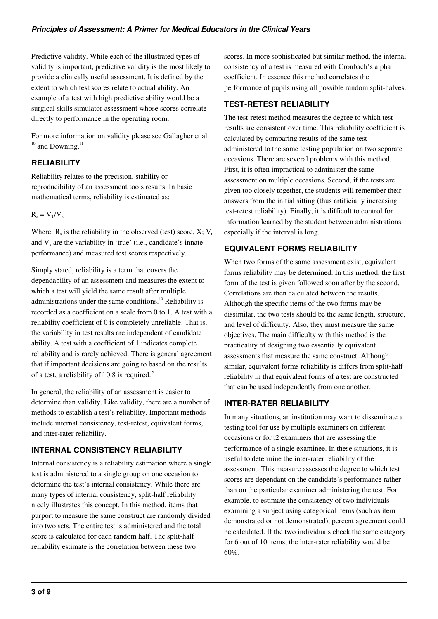Predictive validity. While each of the illustrated types of validity is important, predictive validity is the most likely to provide a clinically useful assessment. It is defined by the extent to which test scores relate to actual ability. An example of a test with high predictive ability would be a surgical skills simulator assessment whose scores correlate directly to performance in the operating room.

For more information on validity please see Gallagher et al.  $10$  and Downing.<sup>11</sup>

# **RELIABILITY**

Reliability relates to the precision, stability or reproducibility of an assessment tools results. In basic mathematical terms, reliability is estimated as:

 $R_x = V_T/V_x$ 

Where:  $R_x$  is the reliability in the observed (test) score,  $X$ ;  $V_t$ and  $V_{x}$  are the variability in 'true' (i.e., candidate's innate performance) and measured test scores respectively.

Simply stated, reliability is a term that covers the dependability of an assessment and measures the extent to which a test will yield the same result after multiple administrations under the same conditions.<sup>10</sup> Reliability is recorded as a coefficient on a scale from 0 to 1. A test with a reliability coefficient of 0 is completely unreliable. That is, the variability in test results are independent of candidate ability. A test with a coefficient of 1 indicates complete reliability and is rarely achieved. There is general agreement that if important decisions are going to based on the results of a test, a reliability of  $\sqrt{0.8}$  is required.<sup>5</sup>

In general, the reliability of an assessment is easier to determine than validity. Like validity, there are a number of methods to establish a test's reliability. Important methods include internal consistency, test-retest, equivalent forms, and inter-rater reliability.

# **INTERNAL CONSISTENCY RELIABILITY**

Internal consistency is a reliability estimation where a single test is administered to a single group on one occasion to determine the test's internal consistency. While there are many types of internal consistency, split-half reliability nicely illustrates this concept. In this method, items that purport to measure the same construct are randomly divided into two sets. The entire test is administered and the total score is calculated for each random half. The split-half reliability estimate is the correlation between these two

scores. In more sophisticated but similar method, the internal consistency of a test is measured with Cronbach's alpha coefficient. In essence this method correlates the performance of pupils using all possible random split-halves.

# **TEST-RETEST RELIABILITY**

The test-retest method measures the degree to which test results are consistent over time. This reliability coefficient is calculated by comparing results of the same test administered to the same testing population on two separate occasions. There are several problems with this method. First, it is often impractical to administer the same assessment on multiple occasions. Second, if the tests are given too closely together, the students will remember their answers from the initial sitting (thus artificially increasing test-retest reliability). Finally, it is difficult to control for information learned by the student between administrations, especially if the interval is long.

# **EQUIVALENT FORMS RELIABILITY**

When two forms of the same assessment exist, equivalent forms reliability may be determined. In this method, the first form of the test is given followed soon after by the second. Correlations are then calculated between the results. Although the specific items of the two forms may be dissimilar, the two tests should be the same length, structure, and level of difficulty. Also, they must measure the same objectives. The main difficulty with this method is the practicality of designing two essentially equivalent assessments that measure the same construct. Although similar, equivalent forms reliability is differs from split-half reliability in that equivalent forms of a test are constructed that can be used independently from one another.

# **INTER-RATER RELIABILITY**

In many situations, an institution may want to disseminate a testing tool for use by multiple examiners on different occasions or for  $12$  examiners that are assessing the performance of a single examinee. In these situations, it is useful to determine the inter-rater reliability of the assessment. This measure assesses the degree to which test scores are dependant on the candidate's performance rather than on the particular examiner administering the test. For example, to estimate the consistency of two individuals examining a subject using categorical items (such as item demonstrated or not demonstrated), percent agreement could be calculated. If the two individuals check the same category for 6 out of 10 items, the inter-rater reliability would be 60%.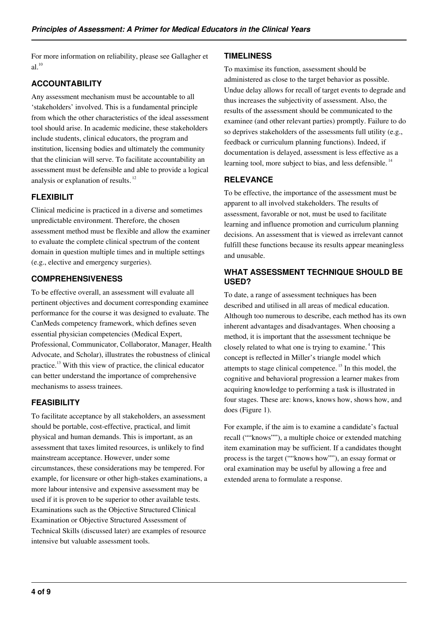For more information on reliability, please see Gallagher et al $10$ 

# **ACCOUNTABILITY**

Any assessment mechanism must be accountable to all 'stakeholders' involved. This is a fundamental principle from which the other characteristics of the ideal assessment tool should arise. In academic medicine, these stakeholders include students, clinical educators, the program and institution, licensing bodies and ultimately the community that the clinician will serve. To facilitate accountability an assessment must be defensible and able to provide a logical analysis or explanation of results.<sup>12</sup>

## **FLEXIBILIT**

Clinical medicine is practiced in a diverse and sometimes unpredictable environment. Therefore, the chosen assessment method must be flexible and allow the examiner to evaluate the complete clinical spectrum of the content domain in question multiple times and in multiple settings (e.g., elective and emergency surgeries).

## **COMPREHENSIVENESS**

To be effective overall, an assessment will evaluate all pertinent objectives and document corresponding examinee performance for the course it was designed to evaluate. The CanMeds competency framework, which defines seven essential physician competencies (Medical Expert, Professional, Communicator, Collaborator, Manager, Health Advocate, and Scholar), illustrates the robustness of clinical practice.<sup>13</sup> With this view of practice, the clinical educator can better understand the importance of comprehensive mechanisms to assess trainees.

#### **FEASIBILITY**

To facilitate acceptance by all stakeholders, an assessment should be portable, cost-effective, practical, and limit physical and human demands. This is important, as an assessment that taxes limited resources, is unlikely to find mainstream acceptance. However, under some circumstances, these considerations may be tempered. For example, for licensure or other high-stakes examinations, a more labour intensive and expensive assessment may be used if it is proven to be superior to other available tests. Examinations such as the Objective Structured Clinical Examination or Objective Structured Assessment of Technical Skills (discussed later) are examples of resource intensive but valuable assessment tools.

#### **TIMELINESS**

To maximise its function, assessment should be administered as close to the target behavior as possible. Undue delay allows for recall of target events to degrade and thus increases the subjectivity of assessment. Also, the results of the assessment should be communicated to the examinee (and other relevant parties) promptly. Failure to do so deprives stakeholders of the assessments full utility (e.g., feedback or curriculum planning functions). Indeed, if documentation is delayed, assessment is less effective as a learning tool, more subject to bias, and less defensible.<sup>14</sup>

## **RELEVANCE**

To be effective, the importance of the assessment must be apparent to all involved stakeholders. The results of assessment, favorable or not, must be used to facilitate learning and influence promotion and curriculum planning decisions. An assessment that is viewed as irrelevant cannot fulfill these functions because its results appear meaningless and unusable.

#### **WHAT ASSESSMENT TECHNIQUE SHOULD BE USED?**

To date, a range of assessment techniques has been described and utilised in all areas of medical education. Although too numerous to describe, each method has its own inherent advantages and disadvantages. When choosing a method, it is important that the assessment technique be closely related to what one is trying to examine.<sup>4</sup> This concept is reflected in Miller's triangle model which attempts to stage clinical competence.<sup>15</sup> In this model, the cognitive and behavioral progression a learner makes from acquiring knowledge to performing a task is illustrated in four stages. These are: knows, knows how, shows how, and does (Figure 1).

For example, if the aim is to examine a candidate's factual recall (""knows""), a multiple choice or extended matching item examination may be sufficient. If a candidates thought process is the target (""knows how""), an essay format or oral examination may be useful by allowing a free and extended arena to formulate a response.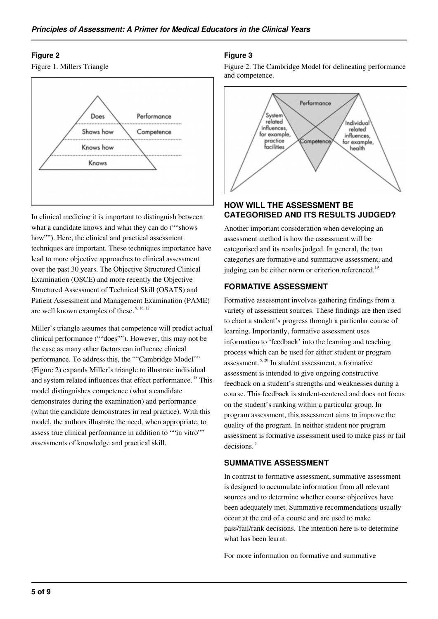#### **Figure 2**

Figure 1. Millers Triangle



In clinical medicine it is important to distinguish between what a candidate knows and what they can do (""shows how""). Here, the clinical and practical assessment techniques are important. These techniques importance have lead to more objective approaches to clinical assessment over the past 30 years. The Objective Structured Clinical Examination (OSCE) and more recently the Objective Structured Assessment of Technical Skill (OSATS) and Patient Assessment and Management Examination (PAME) are well known examples of these.<sup>9, 16, 17</sup>

Miller's triangle assumes that competence will predict actual clinical performance (""does""). However, this may not be the case as many other factors can influence clinical performance. To address this, the ""Cambridge Model"" (Figure 2) expands Miller's triangle to illustrate individual and system related influences that effect performance.<sup>18</sup> This model distinguishes competence (what a candidate demonstrates during the examination) and performance (what the candidate demonstrates in real practice). With this model, the authors illustrate the need, when appropriate, to assess true clinical performance in addition to ""in vitro"" assessments of knowledge and practical skill.

#### **Figure 3**

Figure 2. The Cambridge Model for delineating performance and competence.



#### **HOW WILL THE ASSESSMENT BE CATEGORISED AND ITS RESULTS JUDGED?**

Another important consideration when developing an assessment method is how the assessment will be categorised and its results judged. In general, the two categories are formative and summative assessment, and judging can be either norm or criterion referenced.<sup>19</sup>

#### **FORMATIVE ASSESSMENT**

Formative assessment involves gathering findings from a variety of assessment sources. These findings are then used to chart a student's progress through a particular course of learning. Importantly, formative assessment uses information to 'feedback' into the learning and teaching process which can be used for either student or program assessment. 5, 20 In student assessment, a formative assessment is intended to give ongoing constructive feedback on a student's strengths and weaknesses during a course. This feedback is student-centered and does not focus on the student's ranking within a particular group. In program assessment, this assessment aims to improve the quality of the program. In neither student nor program assessment is formative assessment used to make pass or fail decisions.<sup>5</sup>

#### **SUMMATIVE ASSESSMENT**

In contrast to formative assessment, summative assessment is designed to accumulate information from all relevant sources and to determine whether course objectives have been adequately met. Summative recommendations usually occur at the end of a course and are used to make pass/fail/rank decisions. The intention here is to determine what has been learnt.

For more information on formative and summative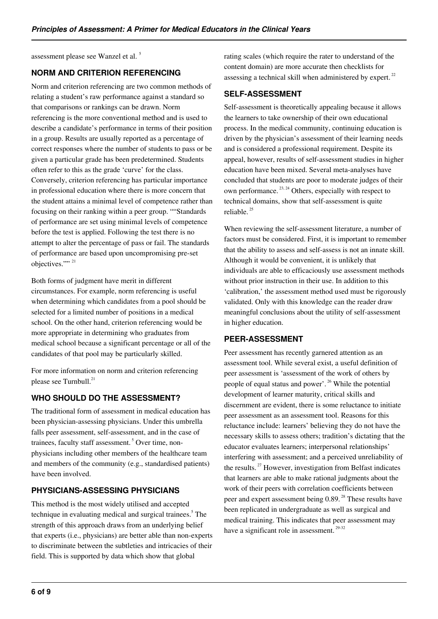assessment please see Wanzel et al. <sup>5</sup>

#### **NORM AND CRITERION REFERENCING**

Norm and criterion referencing are two common methods of relating a student's raw performance against a standard so that comparisons or rankings can be drawn. Norm referencing is the more conventional method and is used to describe a candidate's performance in terms of their position in a group. Results are usually reported as a percentage of correct responses where the number of students to pass or be given a particular grade has been predetermined. Students often refer to this as the grade 'curve' for the class. Conversely, criterion referencing has particular importance in professional education where there is more concern that the student attains a minimal level of competence rather than focusing on their ranking within a peer group. ""Standards of performance are set using minimal levels of competence before the test is applied. Following the test there is no attempt to alter the percentage of pass or fail. The standards of performance are based upon uncompromising pre-set objectives.""<sup>21</sup>

Both forms of judgment have merit in different circumstances. For example, norm referencing is useful when determining which candidates from a pool should be selected for a limited number of positions in a medical school. On the other hand, criterion referencing would be more appropriate in determining who graduates from medical school because a significant percentage or all of the candidates of that pool may be particularly skilled.

For more information on norm and criterion referencing please see Turnbull. $^{21}$ 

# **WHO SHOULD DO THE ASSESSMENT?**

The traditional form of assessment in medical education has been physician-assessing physicians. Under this umbrella falls peer assessment, self-assessment, and in the case of trainees, faculty staff assessment.<sup>5</sup> Over time, nonphysicians including other members of the healthcare team and members of the community (e.g., standardised patients) have been involved.

#### **PHYSICIANS-ASSESSING PHYSICIANS**

This method is the most widely utilised and accepted technique in evaluating medical and surgical trainees.<sup>5</sup> The strength of this approach draws from an underlying belief that experts (i.e., physicians) are better able than non-experts to discriminate between the subtleties and intricacies of their field. This is supported by data which show that global

rating scales (which require the rater to understand of the content domain) are more accurate then checklists for assessing a technical skill when administered by expert. $^{22}$ 

#### **SELF-ASSESSMENT**

Self-assessment is theoretically appealing because it allows the learners to take ownership of their own educational process. In the medical community, continuing education is driven by the physician's assessment of their learning needs and is considered a professional requirement. Despite its appeal, however, results of self-assessment studies in higher education have been mixed. Several meta-analyses have concluded that students are poor to moderate judges of their own performance. 23, 24 Others, especially with respect to technical domains, show that self-assessment is quite reliable. $^{25}$ 

When reviewing the self-assessment literature, a number of factors must be considered. First, it is important to remember that the ability to assess and self-assess is not an innate skill. Although it would be convenient, it is unlikely that individuals are able to efficaciously use assessment methods without prior instruction in their use. In addition to this 'calibration,' the assessment method used must be rigorously validated. Only with this knowledge can the reader draw meaningful conclusions about the utility of self-assessment in higher education.

#### **PEER-ASSESSMENT**

Peer assessment has recently garnered attention as an assessment tool. While several exist, a useful definition of peer assessment is 'assessment of the work of others by people of equal status and power'.<sup>26</sup> While the potential development of learner maturity, critical skills and discernment are evident, there is some reluctance to initiate peer assessment as an assessment tool. Reasons for this reluctance include: learners' believing they do not have the necessary skills to assess others; tradition's dictating that the educator evaluates learners; interpersonal relationships' interfering with assessment; and a perceived unreliability of the results. $27$  However, investigation from Belfast indicates that learners are able to make rational judgments about the work of their peers with correlation coefficients between peer and expert assessment being  $0.89$ .<sup>28</sup> These results have been replicated in undergraduate as well as surgical and medical training. This indicates that peer assessment may have a significant role in assessment.<sup>29-32</sup>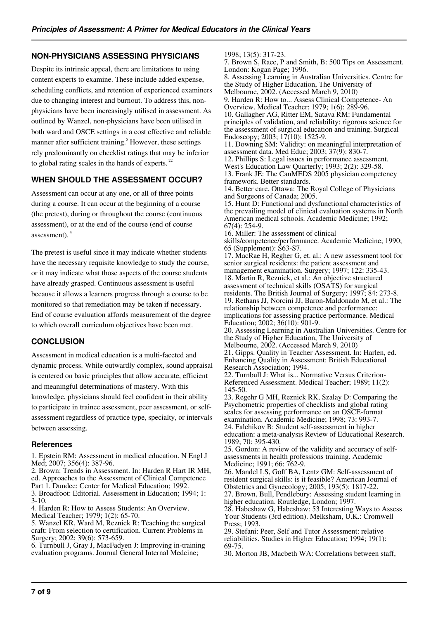#### **NON-PHYSICIANS ASSESSING PHYSICIANS**

Despite its intrinsic appeal, there are limitations to using content experts to examine. These include added expense, scheduling conflicts, and retention of experienced examiners due to changing interest and burnout. To address this, nonphysicians have been increasingly utilised in assessment. As outlined by Wanzel, non-physicians have been utilised in both ward and OSCE settings in a cost effective and reliable manner after sufficient training.<sup>5</sup> However, these settings rely predominantly on checklist ratings that may be inferior to global rating scales in the hands of experts. $^{22}$ 

# **WHEN SHOULD THE ASSESSMENT OCCUR?**

Assessment can occur at any one, or all of three points during a course. It can occur at the beginning of a course (the pretest), during or throughout the course (continuous assessment), or at the end of the course (end of course assessment).<sup>4</sup>

The pretest is useful since it may indicate whether students have the necessary requisite knowledge to study the course, or it may indicate what those aspects of the course students have already grasped. Continuous assessment is useful because it allows a learners progress through a course to be monitored so that remediation may be taken if necessary. End of course evaluation affords measurement of the degree to which overall curriculum objectives have been met.

#### **CONCLUSION**

Assessment in medical education is a multi-faceted and dynamic process. While outwardly complex, sound appraisal is centered on basic principles that allow accurate, efficient and meaningful determinations of mastery. With this knowledge, physicians should feel confident in their ability to participate in trainee assessment, peer assessment, or selfassessment regardless of practice type, specialty, or intervals between assessing.

#### **References**

1. Epstein RM: Assessment in medical education. N Engl J Med; 2007; 356(4): 387-96.

2. Brown: Trends in Assessment. In: Harden R Hart IR MH, ed. Approaches to the Assessment of Clinical Competence Part 1. Dundee: Center for Medical Education; 1992.

3. Broadfoot: Editorial. Assessment in Education; 1994; 1: 3-10.

4. Harden R: How to Assess Students: An Overview.

Medical Teacher; 1979; 1(2): 65-70.

5. Wanzel KR, Ward M, Reznick R: Teaching the surgical craft: From selection to certification. Current Problems in Surgery; 2002; 39(6): 573-659.

6. Turnbull J, Gray J, MacFadyen J: Improving in-training evaluation programs. Journal General Internal Medcine;

1998; 13(5): 317-23. 7. Brown S, Race, P and Smith, B: 500 Tips on Assessment. London: Kogan Page; 1996. 8. Assessing Learning in Australian Universities. Centre for the Study of Higher Education, The University of Melbourne, 2002. (Accessed March 9, 2010) 9. Harden R: How to... Assess Clinical Competence- An Overview. Medical Teacher; 1979; 1(6): 289-96. 10. Gallagher AG, Ritter EM, Satava RM: Fundamental principles of validation, and reliability: rigorous science for the assessment of surgical education and training. Surgical Endoscopy; 2003; 17(10): 1525-9. 11. Downing SM: Validity: on meaningful interpretation of assessment data. Med Educ; 2003; 37(9): 830-7. 12. Phillips S: Legal issues in performance assessment. West's Education Law Quarterly; 1993; 2(2): 329-58. 13. Frank JE: The CanMEDS 2005 physician competency framework. Better standards. 14. Better care. Ottawa: The Royal College of Physicians and Surgeons of Canada; 2005. 15. Hunt D: Functional and dysfunctional characteristics of the prevailing model of clinical evaluation systems in North American medical schools. Academic Medicine; 1992; 67(4): 254-9. 16. Miller: The assessment of clinical skills/competence/performance. Academic Medicine; 1990; 65 (Supplement): S63-S7. 17. MacRae H, Regher G, et. al.: A new assessment tool for senior surgical residents: the patient assessment and management examination. Surgery; 1997; 122: 335-43. 18. Martin R, Reznick, et al.: An objective structured assessment of technical skills (OSATS) for surgical residents. The British Journal of Surgery; 1997; 84: 273-8. 19. Rethans JJ, Norcini JJ, Baron-Maldonado M, et al.: The relationship between competence and performance: implications for assessing practice performance. Medical Education; 2002; 36(10): 901-9. 20. Assessing Learning in Australian Universities. Centre for the Study of Higher Education, The University of Melbourne, 2002. (Accessed March 9, 2010) 21. Gipps. Quality in Teacher Assessment. In: Harlen, ed. Enhancing Quality in Assessment: British Educational Research Association; 1994. 22. Turnbull J: What is... Normative Versus Criterion-Referenced Assessment. Medical Teacher; 1989; 11(2): 145-50. 23. Regehr G MH, Reznick RK, Szalay D: Comparing the Psychometric properties of checklists and global rating scales for assessing performance on an OSCE-format examination. Academic Medicine; 1998; 73: 993-7. 24. Falchikov B: Student self-assessment in higher education: a meta-analysis Review of Educational Research. 1989; 70: 395-430. 25. Gordon: A review of the validity and accuracy of selfassessments in health professions training. Academic Medicine; 1991; 66: 762-9. 26. Mandel LS, Goff BA, Lentz GM: Self-assessment of resident surgical skills: is it feasible? American Journal of Obstetrics and Gynecology; 2005; 193(5): 1817-22. 27. Brown, Bull, Pendlebury: Assessing student learning in higher education. Routledge, London; 1997. 28. Habeshaw G, Habeshaw: 53 Interesting Ways to Assess Your Students (3rd edition). Melksham, U.K.: Cromwell Press; 1993.

29. Stefani: Peer, Self and Tutor Assessment: relative reliabilities. Studies in Higher Education; 1994; 19(1): 69-75.

30. Morton JB, Macbeth WA: Correlations between staff,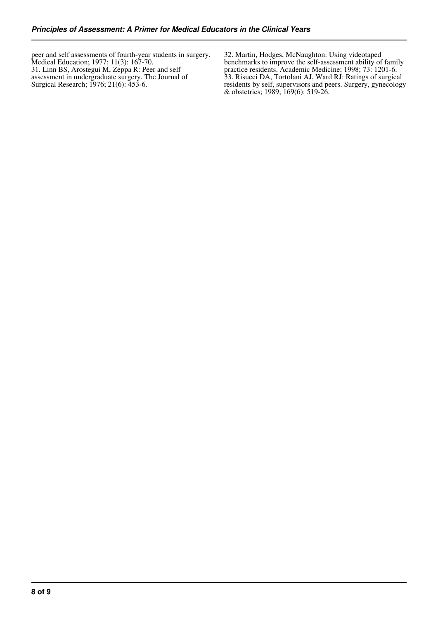peer and self assessments of fourth-year students in surgery. Medical Education; 1977; 11(3): 167-70. 31. Linn BS, Arostegui M, Zeppa R: Peer and self assessment in undergraduate surgery. The Journal of Surgical Research; 1976; 21(6): 453-6.

32. Martin, Hodges, McNaughton: Using videotaped benchmarks to improve the self-assessment ability of family practice residents. Academic Medicine; 1998; 73: 1201-6. 33. Risucci DA, Tortolani AJ, Ward RJ: Ratings of surgical residents by self, supervisors and peers. Surgery, gynecology & obstetrics; 1989; 169(6): 519-26.